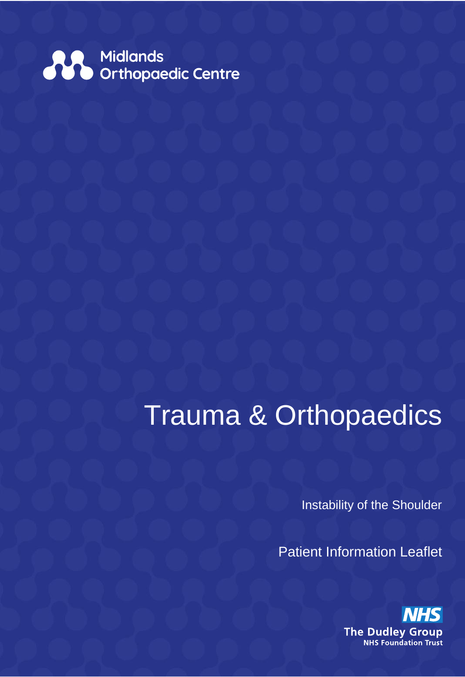

# Trauma & Orthopaedics

Instability of the Shoulder

Patient Information Leaflet

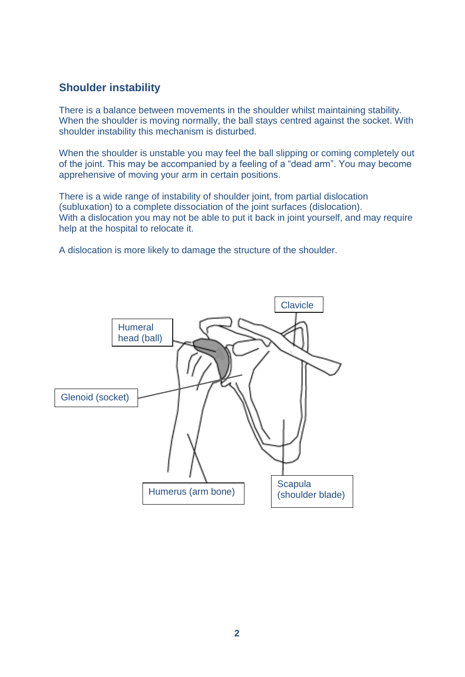# **Shoulder instability**

There is a balance between movements in the shoulder whilst maintaining stability. When the shoulder is moving normally, the ball stays centred against the socket. With shoulder instability this mechanism is disturbed.

When the shoulder is unstable you may feel the ball slipping or coming completely out of the joint. This may be accompanied by a feeling of a "dead arm". You may become apprehensive of moving your arm in certain positions.

There is a wide range of instability of shoulder joint, from partial dislocation (subluxation) to a complete dissociation of the joint surfaces (dislocation). With a dislocation you may not be able to put it back in joint yourself, and may require help at the hospital to relocate it.

A dislocation is more likely to damage the structure of the shoulder.

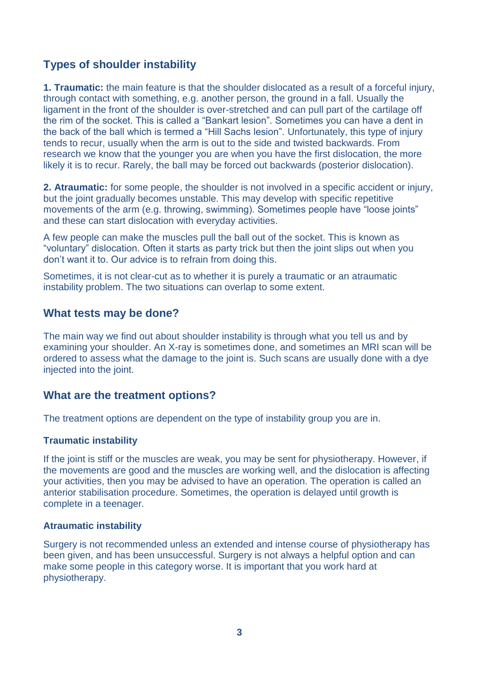## **Types of shoulder instability**

**1. Traumatic:** the main feature is that the shoulder dislocated as a result of a forceful injury, through contact with something, e.g. another person, the ground in a fall. Usually the ligament in the front of the shoulder is over-stretched and can pull part of the cartilage off the rim of the socket. This is called a "Bankart lesion". Sometimes you can have a dent in the back of the ball which is termed a "Hill Sachs lesion". Unfortunately, this type of injury tends to recur, usually when the arm is out to the side and twisted backwards. From research we know that the younger you are when you have the first dislocation, the more likely it is to recur. Rarely, the ball may be forced out backwards (posterior dislocation).

**2. Atraumatic:** for some people, the shoulder is not involved in a specific accident or injury, but the joint gradually becomes unstable. This may develop with specific repetitive movements of the arm (e.g. throwing, swimming). Sometimes people have "loose joints" and these can start dislocation with everyday activities.

A few people can make the muscles pull the ball out of the socket. This is known as "voluntary" dislocation. Often it starts as party trick but then the joint slips out when you don't want it to. Our advice is to refrain from doing this.

Sometimes, it is not clear-cut as to whether it is purely a traumatic or an atraumatic instability problem. The two situations can overlap to some extent.

## **What tests may be done?**

The main way we find out about shoulder instability is through what you tell us and by examining your shoulder. An X-ray is sometimes done, and sometimes an MRI scan will be ordered to assess what the damage to the joint is. Such scans are usually done with a dye injected into the joint.

## **What are the treatment options?**

The treatment options are dependent on the type of instability group you are in.

#### **Traumatic instability**

If the joint is stiff or the muscles are weak, you may be sent for physiotherapy. However, if the movements are good and the muscles are working well, and the dislocation is affecting your activities, then you may be advised to have an operation. The operation is called an anterior stabilisation procedure. Sometimes, the operation is delayed until growth is complete in a teenager.

#### **Atraumatic instability**

Surgery is not recommended unless an extended and intense course of physiotherapy has been given, and has been unsuccessful. Surgery is not always a helpful option and can make some people in this category worse. It is important that you work hard at physiotherapy.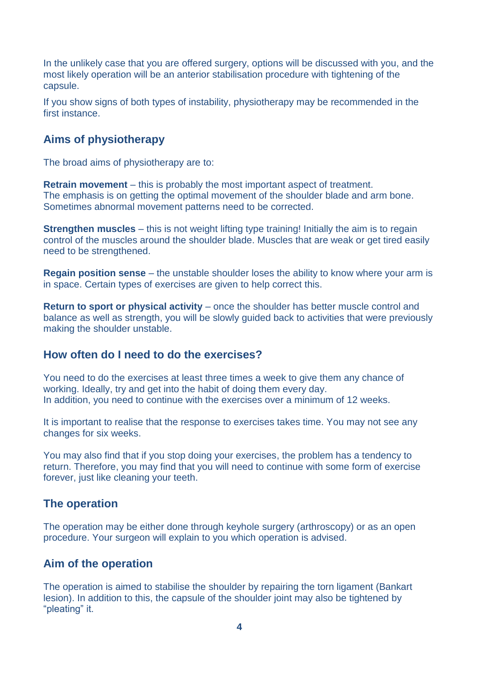In the unlikely case that you are offered surgery, options will be discussed with you, and the most likely operation will be an anterior stabilisation procedure with tightening of the capsule.

If you show signs of both types of instability, physiotherapy may be recommended in the first instance.

## **Aims of physiotherapy**

The broad aims of physiotherapy are to:

**Retrain movement** – this is probably the most important aspect of treatment. The emphasis is on getting the optimal movement of the shoulder blade and arm bone. Sometimes abnormal movement patterns need to be corrected.

**Strengthen muscles** – this is not weight lifting type training! Initially the aim is to regain control of the muscles around the shoulder blade. Muscles that are weak or get tired easily need to be strengthened.

**Regain position sense** – the unstable shoulder loses the ability to know where your arm is in space. Certain types of exercises are given to help correct this.

**Return to sport or physical activity** – once the shoulder has better muscle control and balance as well as strength, you will be slowly guided back to activities that were previously making the shoulder unstable.

## **How often do I need to do the exercises?**

You need to do the exercises at least three times a week to give them any chance of working. Ideally, try and get into the habit of doing them every day. In addition, you need to continue with the exercises over a minimum of 12 weeks.

It is important to realise that the response to exercises takes time. You may not see any changes for six weeks.

You may also find that if you stop doing your exercises, the problem has a tendency to return. Therefore, you may find that you will need to continue with some form of exercise forever, just like cleaning your teeth.

## **The operation**

The operation may be either done through keyhole surgery (arthroscopy) or as an open procedure. Your surgeon will explain to you which operation is advised.

## **Aim of the operation**

The operation is aimed to stabilise the shoulder by repairing the torn ligament (Bankart lesion). In addition to this, the capsule of the shoulder joint may also be tightened by "pleating" it.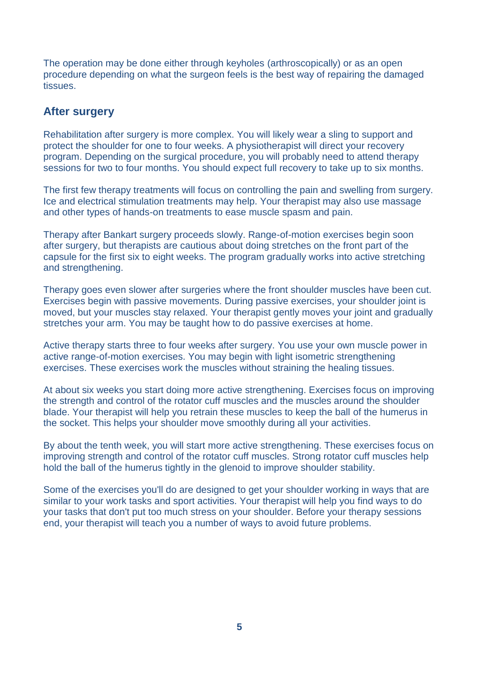The operation may be done either through keyholes (arthroscopically) or as an open procedure depending on what the surgeon feels is the best way of repairing the damaged tissues.

### **After surgery**

Rehabilitation after surgery is more complex. You will likely wear a sling to support and protect the shoulder for one to four weeks. A physiotherapist will direct your recovery program. Depending on the surgical procedure, you will probably need to attend therapy sessions for two to four months. You should expect full recovery to take up to six months.

The first few therapy treatments will focus on controlling the pain and swelling from surgery. Ice and electrical stimulation treatments may help. Your therapist may also use massage and other types of hands-on treatments to ease muscle spasm and pain.

Therapy after Bankart surgery proceeds slowly. Range-of-motion exercises begin soon after surgery, but therapists are cautious about doing stretches on the front part of the capsule for the first six to eight weeks. The program gradually works into active stretching and strengthening.

Therapy goes even slower after surgeries where the front shoulder muscles have been cut. Exercises begin with passive movements. During passive exercises, your shoulder joint is moved, but your muscles stay relaxed. Your therapist gently moves your joint and gradually stretches your arm. You may be taught how to do passive exercises at home.

Active therapy starts three to four weeks after surgery. You use your own muscle power in active range-of-motion exercises. You may begin with light isometric strengthening exercises. These exercises work the muscles without straining the healing tissues.

At about six weeks you start doing more active strengthening. Exercises focus on improving the strength and control of the rotator cuff muscles and the muscles around the shoulder blade. Your therapist will help you retrain these muscles to keep the ball of the humerus in the socket. This helps your shoulder move smoothly during all your activities.

By about the tenth week, you will start more active strengthening. These exercises focus on improving strength and control of the rotator cuff muscles. Strong rotator cuff muscles help hold the ball of the humerus tightly in the glenoid to improve shoulder stability.

Some of the exercises you'll do are designed to get your shoulder working in ways that are similar to your work tasks and sport activities. Your therapist will help you find ways to do your tasks that don't put too much stress on your shoulder. Before your therapy sessions end, your therapist will teach you a number of ways to avoid future problems.